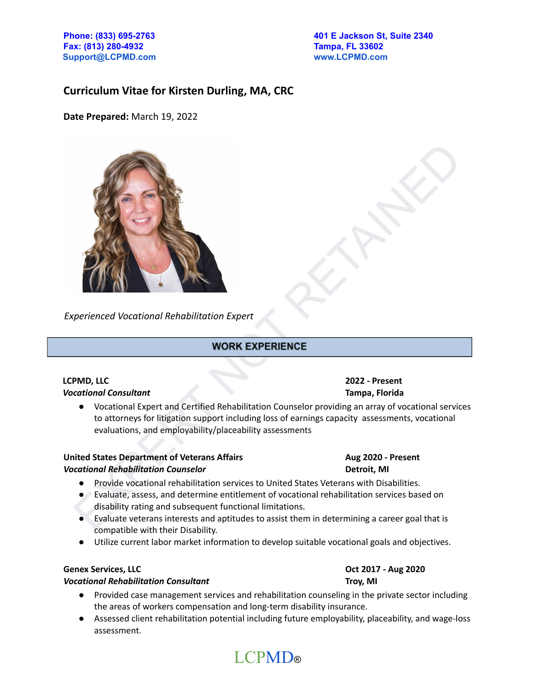**Fax: (813) 280-4932 Tampa, FL 33602 [Support@LCPMD.com](mailto:Support@LCPMD.com) [www.LCPMD.com](http://www.lcpmd.com)**

### **Curriculum Vitae for Kirsten Durling, MA, CRC**

**Date Prepared:** March 19, 2022



*Experienced Vocational Rehabilitation Expert*

#### **LCPMD, LLC 2022 - Present** *Vocational Consultant* **Tampa, Florida**

● Vocational Expert and Certified Rehabilitation Counselor providing an array of vocational services to attorneys for litigation support including loss of earnings capacity assessments, vocational evaluations, and employability/placeability assessments

#### **United States Department of Veterans Affairs Aug 2020 - Present** *Vocational Rehabilitation Counselor* **Detroit, MI**

- Provide vocational rehabilitation services to United States Veterans with Disabilities.
- Evaluate, assess, and determine entitlement of vocational rehabilitation services based on disability rating and subsequent functional limitations.
- Evaluate veterans interests and aptitudes to assist them in determining a career goal that is compatible with their Disability.
- Utilize current labor market information to develop suitable vocational goals and objectives.

#### **Genex Services, LLC Oct 2017 - Aug 2020**

#### *Vocational Rehabilitation Consultant* **Troy, MI**

- Provided case management services and rehabilitation counseling in the private sector including the areas of workers compensation and long-term disability insurance.
- Assessed client rehabilitation potential including future employability, placeability, and wage-loss assessment.

# LCPMD®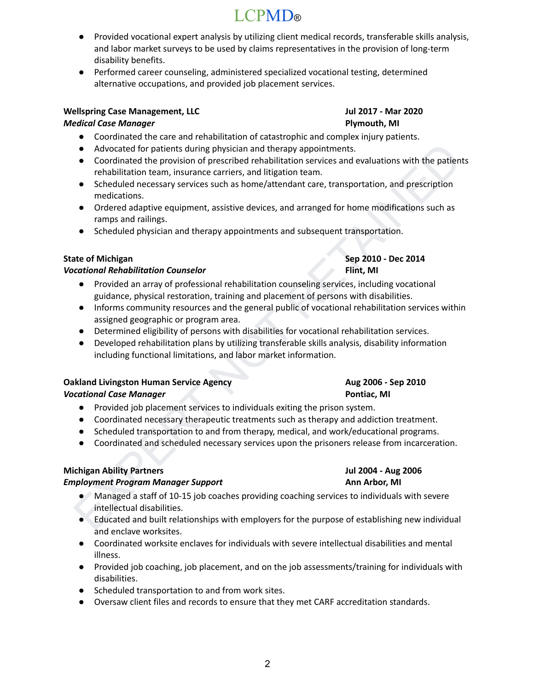## LCPMD®

- Provided vocational expert analysis by utilizing client medical records, transferable skills analysis, and labor market surveys to be used by claims representatives in the provision of long-term disability benefits.
- Performed career counseling, administered specialized vocational testing, determined alternative occupations, and provided job placement services.

### **Wellspring Case Management, LLC Jul 2017 - Mar 2020**

### *Medical Case Manager* **Plymouth, MI**

- Coordinated the care and rehabilitation of catastrophic and complex injury patients.
- Advocated for patients during physician and therapy appointments.
- Coordinated the provision of prescribed rehabilitation services and evaluations with the patients rehabilitation team, insurance carriers, and litigation team.
- Scheduled necessary services such as home/attendant care, transportation, and prescription medications.
- Ordered adaptive equipment, assistive devices, and arranged for home modifications such as ramps and railings.
- Scheduled physician and therapy appointments and subsequent transportation.

### **State of Michigan Sep 2010 - Dec 2014**

### *Vocational Rehabilitation Counselor* **Flint, MI**

- Provided an array of professional rehabilitation counseling services, including vocational guidance, physical restoration, training and placement of persons with disabilities.
- Advanced for painteria during physician and therapy appointments.<br>
 Coordinated the provision of prescribed rehabilitation services at<br>
 Coordinated these provision of prescribed rehabilitation team.<br>
 Cordinated ince ● Informs community resources and the general public of vocational rehabilitation services within assigned geographic or program area.
- Determined eligibility of persons with disabilities for vocational rehabilitation services.
- Developed rehabilitation plans by utilizing transferable skills analysis, disability information including functional limitations, and labor market information.

## **Oakland Livingston Human Service Agency Aug 2006 - Sep 2010**

### *Vocational Case Manager* **Pontiac, MI**

- Provided job placement services to individuals exiting the prison system.
- Coordinated necessary therapeutic treatments such as therapy and addiction treatment.
- Scheduled transportation to and from therapy, medical, and work/educational programs.
- Coordinated and scheduled necessary services upon the prisoners release from incarceration.

### **Michigan Ability Partners Jul 2004 - Aug 2006**

### *Employment Program Manager Support* **Ann Arbor, MI**

- Managed a staff of 10-15 job coaches providing coaching services to individuals with severe intellectual disabilities.
- Educated and built relationships with employers for the purpose of establishing new individual and enclave worksites.
- Coordinated worksite enclaves for individuals with severe intellectual disabilities and mental illness.
- Provided job coaching, job placement, and on the job assessments/training for individuals with disabilities.
- Scheduled transportation to and from work sites.
- Oversaw client files and records to ensure that they met CARF accreditation standards.